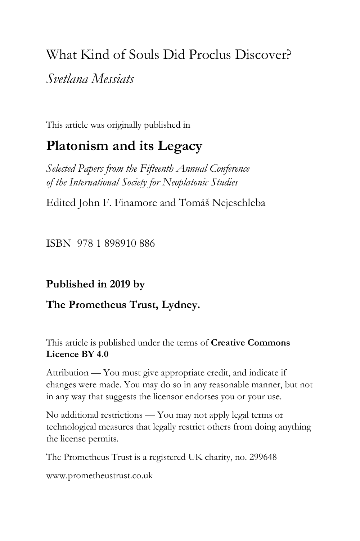# What Kind of Souls Did Proclus Discover?

*Svetlana Messiats*

This article was originally published in

# **Platonism and its Legacy**

*Selected Papers from the Fifteenth Annual Conference of the International Society for Neoplatonic Studies*

Edited John F. Finamore and Tomáš Nejeschleba

ISBN 978 1 898910 886

# **Published in 2019 by**

## **The Prometheus Trust, Lydney.**

This article is published under the terms of **Creative Commons Licence BY 4.0**

Attribution — You must give appropriate credit, and indicate if changes were made. You may do so in any reasonable manner, but not in any way that suggests the licensor endorses you or your use.

No additional restrictions — You may not apply legal terms or technological measures that legally restrict others from doing anything the license permits.

The Prometheus Trust is a registered UK charity, no. 299648

[www.prometheustrust.co.uk](http://www.prometheustrust.co.uk/)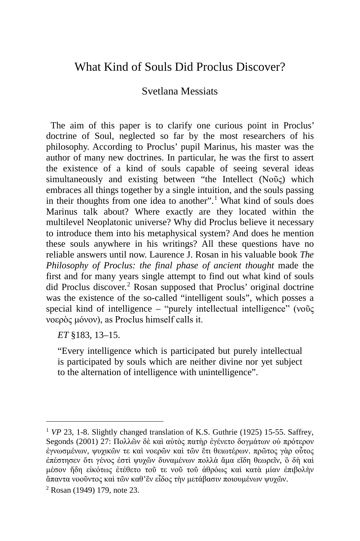## What Kind of Souls Did Proclus Discover?

### Svetlana Messiats

 The aim of this paper is to clarify one curious point in Proclus' doctrine of Soul, neglected so far by the most researchers of his philosophy. According to Proclus' pupil Marinus, his master was the author of many new doctrines. In particular, he was the first to assert the existence of a kind of souls capable of seeing several ideas simultaneously and existing between "the Intellect (Νοῦς) which embraces all things together by a single intuition, and the souls passing in their thoughts from one idea to another".<sup>[1](#page-1-0)</sup> What kind of souls does Marinus talk about? Where exactly are they located within the multilevel Neoplatonic universe? Why did Proclus believe it necessary to introduce them into his metaphysical system? And does he mention these souls anywhere in his writings? All these questions have no reliable answers until now. Laurence J. Rosan in his valuable book *The Philosophy of Proclus: the final phase of ancient thought* made the first and for many years single attempt to find out what kind of souls did Proclus discover. [2](#page-1-1) Rosan supposed that Proclus' original doctrine was the existence of the so-called "intelligent souls", which posses a special kind of intelligence – "purely intellectual intelligence" (νοῦς νοερὸς μόνον), as Proclus himself calls it.

*ET* §183, 13–15.

i,

"Every intelligence which is participated but purely intellectual is participated by souls which are neither divine nor yet subject to the alternation of intelligence with unintelligence".

<span id="page-1-0"></span><sup>&</sup>lt;sup>1</sup> *VP* 23, 1-8. Slightly changed translation of K.S. Guthrie (1925) 15-55. Saffrey, Segonds (2001) 27: Πολλῶν δὲ καὶ αὐτὸς πατὴρ ἐγένετο δογμάτων οὐ πρότερον ἐγνωσμένων, ψυχικῶν τε καὶ νοερῶν καὶ τῶν ἔτι θειωτέρων. πρῶτος γὰρ οὗτος ἐπέστησεν ὅτι γένος ἐστὶ ψυχῶν δυναμένων πολλὰ ἅμα εἴδη θεωρεῖν, ὃ δὴ καὶ μέσον ἤδη εἰκότως ἐτέθετο τοῦ τε νοῦ τοῦ ἀθρόως καὶ κατὰ μίαν ἐπιβολὴν ἅπαντα νοοῦντος καὶ τῶν καθ'ἕν εἶδος τὴν μετάβασιν ποιουμένων ψυχῶν.

<span id="page-1-1"></span><sup>2</sup> Rosan (1949) 179, note 23.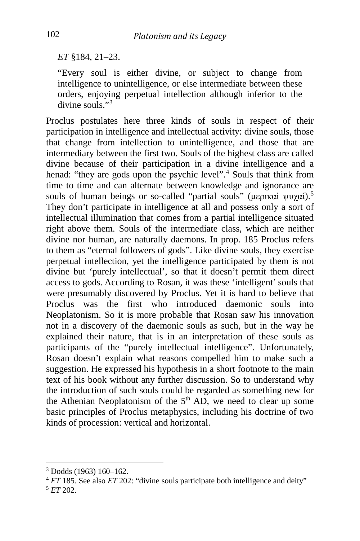*ET* §184, 21–23.

"Every soul is either divine, or subject to change from intelligence to unintelligence, or else intermediate between these orders, enjoying perpetual intellection although inferior to the  $divine$  souls  $"3$  $"3$ 

Proclus postulates here three kinds of souls in respect of their participation in intelligence and intellectual activity: divine souls, those that change from intellection to unintelligence, and those that are intermediary between the first two. Souls of the highest class are called divine because of their participation in a divine intelligence and a henad: "they are gods upon the psychic level".<sup>[4](#page-2-1)</sup> Souls that think from time to time and can alternate between knowledge and ignorance are souls of human beings or so-called "partial souls" (μερικαὶ ψυχαί).<sup>[5](#page-2-2)</sup> They don't participate in intelligence at all and possess only a sort of intellectual illumination that comes from a partial intelligence situated right above them. Souls of the intermediate class, which are neither divine nor human, are naturally daemons. In prop. 185 Proclus refers to them as "eternal followers of gods". Like divine souls, they exercise perpetual intellection, yet the intelligence participated by them is not divine but 'purely intellectual', so that it doesn't permit them direct access to gods. According to Rosan, it was these 'intelligent' souls that were presumably discovered by Proclus. Yet it is hard to believe that Proclus was the first who introduced daemonic souls into Neoplatonism. So it is more probable that Rosan saw his innovation not in a discovery of the daemonic souls as such, but in the way he explained their nature, that is in an interpretation of these souls as participants of the "purely intellectual intelligence". Unfortunately, Rosan doesn't explain what reasons compelled him to make such a suggestion. He expressed his hypothesis in a short footnote to the main text of his book without any further discussion. So to understand why the introduction of such souls could be regarded as something new for the Athenian Neoplatonism of the  $5<sup>th</sup> AD$ , we need to clear up some basic principles of Proclus metaphysics, including his doctrine of two kinds of procession: vertical and horizontal.

<span id="page-2-1"></span><span id="page-2-0"></span><sup>3</sup> Dodds (1963) 160–162. 4 *ET* 185. See also *ET* 202: "divine souls participate both intelligence and deity" 5 *ET* 202.

<span id="page-2-2"></span>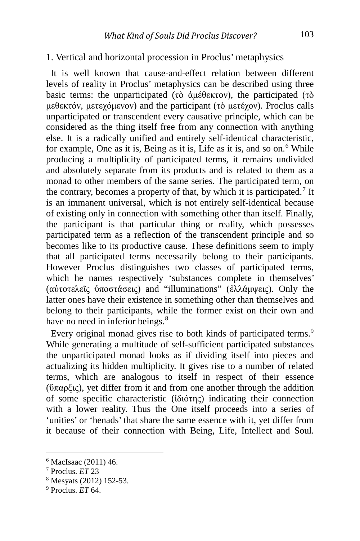#### 1. Vertical and horizontal procession in Proclus' metaphysics

 It is well known that cause-and-effect relation between different levels of reality in Proclus' metaphysics can be described using three basic terms: the unparticipated (τὸ ἀμέθεκτον), the participated (τὸ μεθεκτόν, μετεχόμενον) and the participant (τὸ μετέχον). Proclus calls unparticipated or transcendent every causative principle, which can be considered as the thing itself free from any connection with anything else. It is a radically unified and entirely self-identical characteristic, for example, One as it is, Being as it is, Life as it is, and so on.<sup>[6](#page-3-0)</sup> While producing a multiplicity of participated terms, it remains undivided and absolutely separate from its products and is related to them as a monad to other members of the same series. The participated term, on the contrary, becomes a property of that, by which it is participated.<sup>[7](#page-3-1)</sup> It is an immanent universal, which is not entirely self-identical because of existing only in connection with something other than itself. Finally, the participant is that particular thing or reality, which possesses participated term as a reflection of the transcendent principle and so becomes like to its productive cause. These definitions seem to imply that all participated terms necessarily belong to their participants. However Proclus distinguishes two classes of participated terms, which he names respectively 'substances complete in themselves' (αὐτοτελεῖς ὑποστάσεις) and "illuminations" (ἐλλάμψεις). Only the latter ones have their existence in something other than themselves and belong to their participants, while the former exist on their own and have no need in inferior beings.<sup>[8](#page-3-2)</sup>

Every original monad gives rise to both kinds of participated terms.<sup>[9](#page-3-3)</sup> While generating a multitude of self-sufficient participated substances the unparticipated monad looks as if dividing itself into pieces and actualizing its hidden multiplicity. It gives rise to a number of related terms, which are analogous to itself in respect of their essence (ὕπαρξις), yet differ from it and from one another through the addition of some specific characteristic (ἰδιότης) indicating their connection with a lower reality. Thus the One itself proceeds into a series of 'unities' or 'henads' that share the same essence with it, yet differ from it because of their connection with Being, Life, Intellect and Soul.

<span id="page-3-0"></span><sup>6</sup> MacIsaac (2011) 46.

<span id="page-3-1"></span><sup>7</sup> Proclus. *ET* 23

<span id="page-3-2"></span><sup>8</sup> Mesyats (2012) 152-53.

<span id="page-3-3"></span><sup>9</sup> Proclus. *ET* 64.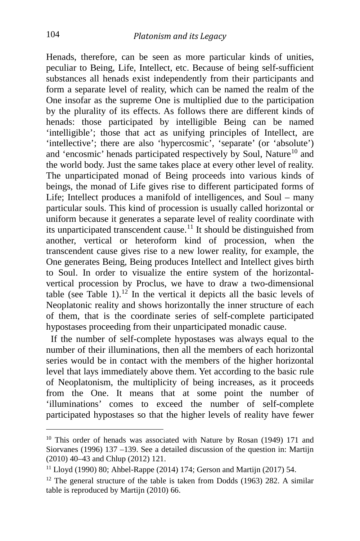Henads, therefore, can be seen as more particular kinds of unities, peculiar to Being, Life, Intellect, etc. Because of being self-sufficient substances all henads exist independently from their participants and form a separate level of reality, which can be named the realm of the One insofar as the supreme One is multiplied due to the participation by the plurality of its effects. As follows there are different kinds of henads: those participated by intelligible Being can be named 'intelligible'; those that act as unifying principles of Intellect, are 'intellective'; there are also 'hypercosmic', 'separate' (or 'absolute') and 'encosmic' henads participated respectively by Soul, Nature<sup>[10](#page-4-0)</sup> and the world body. Just the same takes place at every other level of reality. The unparticipated monad of Being proceeds into various kinds of beings, the monad of Life gives rise to different participated forms of Life; Intellect produces a manifold of intelligences, and Soul – many particular souls. This kind of procession is usually called horizontal or uniform because it generates a separate level of reality coordinate with its unparticipated transcendent cause.<sup>[11](#page-4-1)</sup> It should be distinguished from another, vertical or heteroform kind of procession, when the transcendent cause gives rise to a new lower reality, for example, the One generates Being, Being produces Intellect and Intellect gives birth to Soul. In order to visualize the entire system of the horizontalvertical procession by Proclus, we have to draw a two-dimensional table (see Table 1).<sup>[12](#page-4-2)</sup> In the vertical it depicts all the basic levels of Neoplatonic reality and shows horizontally the inner structure of each of them, that is the coordinate series of self-complete participated hypostases proceeding from their unparticipated monadic cause.

 If the number of self-complete hypostases was always equal to the number of their illuminations, then all the members of each horizontal series would be in contact with the members of the higher horizontal level that lays immediately above them. Yet according to the basic rule of Neoplatonism, the multiplicity of being increases, as it proceeds from the One. It means that at some point the number of 'illuminations' comes to exceed the number of self-complete participated hypostases so that the higher levels of reality have fewer

<span id="page-4-0"></span><sup>&</sup>lt;sup>10</sup> This order of henads was associated with Nature by Rosan (1949) 171 and Siorvanes (1996) 137 –139. See a detailed discussion of the question in: Martijn (2010) 40–43 and Chlup (2012) 121.

<span id="page-4-1"></span><sup>11</sup> Lloyd (1990) 80; Ahbel-Rappe (2014) 174; Gerson and Martijn (2017) 54.

<span id="page-4-2"></span> $12$  The general structure of the table is taken from Dodds (1963) 282. A similar table is reproduced by Martijn (2010) 66.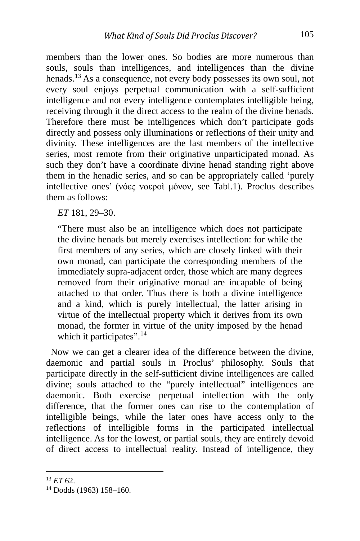members than the lower ones. So bodies are more numerous than souls, souls than intelligences, and intelligences than the divine henads.[13](#page-5-0) As a consequence, not every body possesses its own soul, not every soul enjoys perpetual communication with a self-sufficient intelligence and not every intelligence contemplates intelligible being, receiving through it the direct access to the realm of the divine henads. Therefore there must be intelligences which don't participate gods directly and possess only illuminations or reflections of their unity and divinity. These intelligences are the last members of the intellective series, most remote from their originative unparticipated monad. As such they don't have a coordinate divine henad standing right above them in the henadic series, and so can be appropriately called 'purely intellective ones' (νόες νοεροὶ μόνον, see Tabl.1). Proclus describes them as follows:

*ET* 181, 29–30.

"There must also be an intelligence which does not participate the divine henads but merely exercises intellection: for while the first members of any series, which are closely linked with their own monad, can participate the corresponding members of the immediately supra-adjacent order, those which are many degrees removed from their originative monad are incapable of being attached to that order. Thus there is both a divine intelligence and a kind, which is purely intellectual, the latter arising in virtue of the intellectual property which it derives from its own monad, the former in virtue of the unity imposed by the henad which it participates".<sup>[14](#page-5-1)</sup>

 Now we can get a clearer idea of the difference between the divine, daemonic and partial souls in Proclus' philosophy. Souls that participate directly in the self-sufficient divine intelligences are called divine; souls attached to the "purely intellectual" intelligences are daemonic. Both exercise perpetual intellection with the only difference, that the former ones can rise to the contemplation of intelligible beings, while the later ones have access only to the reflections of intelligible forms in the participated intellectual intelligence. As for the lowest, or partial souls, they are entirely devoid of direct access to intellectual reality. Instead of intelligence, they

<span id="page-5-0"></span><sup>13</sup> *ET* 62.

<span id="page-5-1"></span><sup>14</sup> Dodds (1963) 158–160.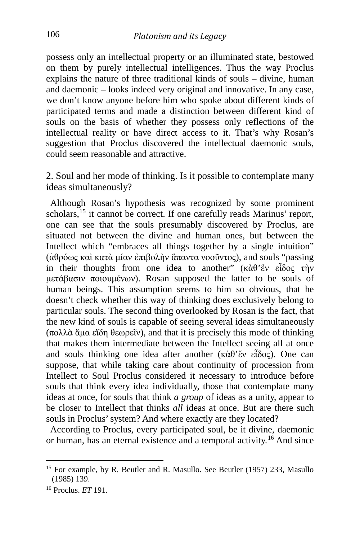possess only an intellectual property or an illuminated state, bestowed on them by purely intellectual intelligences. Thus the way Proclus explains the nature of three traditional kinds of souls – divine, human and daemonic – looks indeed very original and innovative. In any case, we don't know anyone before him who spoke about different kinds of participated terms and made a distinction between different kind of souls on the basis of whether they possess only reflections of the intellectual reality or have direct access to it. That's why Rosan's suggestion that Proclus discovered the intellectual daemonic souls, could seem reasonable and attractive.

2. Soul and her mode of thinking. Is it possible to contemplate many ideas simultaneously?

 Although Rosan's hypothesis was recognized by some prominent scholars,<sup>[15](#page-6-0)</sup> it cannot be correct. If one carefully reads Marinus' report, one can see that the souls presumably discovered by Proclus, are situated not between the divine and human ones, but between the Intellect which "embraces all things together by a single intuition" (ἀθρόως καὶ κατὰ μίαν ἐπιβολὴν ἅπαντα νοοῦντος), and souls "passing in their thoughts from one idea to another" (κὰθ'ἕν εἶδος τὴν μετάβασιν ποιουμένων). Rosan supposed the latter to be souls of human beings. This assumption seems to him so obvious, that he doesn't check whether this way of thinking does exclusively belong to particular souls. The second thing overlooked by Rosan is the fact, that the new kind of souls is capable of seeing several ideas simultaneously (πολλὰ ἅμα εἴδη θεωρεῖν), and that it is precisely this mode of thinking that makes them intermediate between the Intellect seeing all at once and souls thinking one idea after another (κὰθ'ἕν εἶδος). One can suppose, that while taking care about continuity of procession from Intellect to Soul Proclus considered it necessary to introduce before souls that think every idea individually, those that contemplate many ideas at once, for souls that think *a group* of ideas as a unity, appear to be closer to Intellect that thinks *all* ideas at once. But are there such souls in Proclus' system? And where exactly are they located?

 According to Proclus, every participated soul, be it divine, daemonic or human, has an eternal existence and a temporal activity.[16](#page-6-1) And since

<span id="page-6-0"></span><sup>&</sup>lt;sup>15</sup> For example, by R. Beutler and R. Masullo. See Beutler (1957) 233, Masullo (1985) 139.

<span id="page-6-1"></span><sup>16</sup> Proclus. *ET* 191.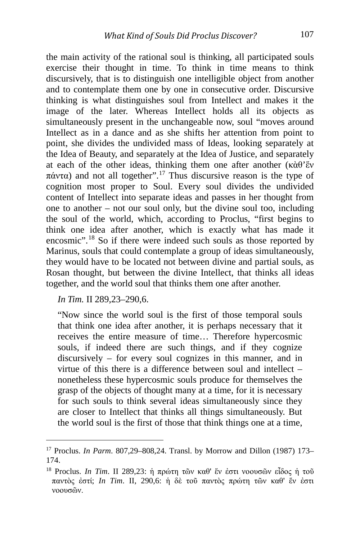the main activity of the rational soul is thinking, all participated souls exercise their thought in time. To think in time means to think discursively, that is to distinguish one intelligible object from another and to contemplate them one by one in consecutive order. Discursive thinking is what distinguishes soul from Intellect and makes it the image of the later. Whereas Intellect holds all its objects as simultaneously present in the unchangeable now, soul "moves around Intellect as in a dance and as she shifts her attention from point to point, she divides the undivided mass of Ideas, looking separately at the Idea of Beauty, and separately at the Idea of Justice, and separately at each of the other ideas, thinking them one after another (κὰθ'ἕν πάντα) and not all together".[17](#page-7-0) Thus discursive reason is the type of cognition most proper to Soul. Every soul divides the undivided content of Intellect into separate ideas and passes in her thought from one to another – not our soul only, but the divine soul too, including the soul of the world, which, according to Proclus, "first begins to think one idea after another, which is exactly what has made it encosmic".[18](#page-7-1) So if there were indeed such souls as those reported by Marinus, souls that could contemplate a group of ideas simultaneously, they would have to be located not between divine and partial souls, as Rosan thought, but between the divine Intellect, that thinks all ideas together, and the world soul that thinks them one after another.

*In Tim.* II 289,23–290,6.

"Now since the world soul is the first of those temporal souls that think one idea after another, it is perhaps necessary that it receives the entire measure of time… Therefore hypercosmic souls, if indeed there are such things, and if they cognize discursively – for every soul cognizes in this manner, and in virtue of this there is a difference between soul and intellect – nonetheless these hypercosmic souls produce for themselves the grasp of the objects of thought many at a time, for it is necessary for such souls to think several ideas simultaneously since they are closer to Intellect that thinks all things simultaneously. But the world soul is the first of those that think things one at a time,

<span id="page-7-0"></span><sup>17</sup> Proclus. *In Parm*. 807,29–808,24. Transl. by Morrow and Dillon (1987) 173– 174.

<span id="page-7-1"></span><sup>18</sup> Proclus. *In Tim*. II 289,23: ἡ πρώτη τῶν καθ' ἕν ἐστι νοουσῶν εἶδος ἡ τοῦ παντὸς ἐστί; *In Tim*. II, 290,6: ἡ δὲ τοῦ παντὸς πρώτη τῶν καθ' ἕν ἐστι νοουσῶν.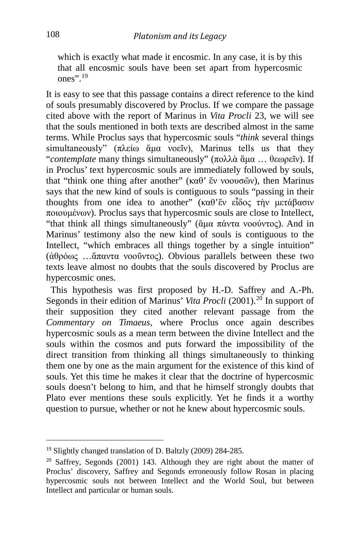which is exactly what made it encosmic. In any case, it is by this that all encosmic souls have been set apart from hypercosmic ones" $^{19}$  $^{19}$  $^{19}$ 

It is easy to see that this passage contains a direct reference to the kind of souls presumably discovered by Proclus. If we compare the passage cited above with the report of Marinus in *Vita Procli* 23, we will see that the souls mentioned in both texts are described almost in the same terms. While Proclus says that hypercosmic souls "*think* several things simultaneously" (πλείω ἅμα νοεῖν), Marinus tells us that they "*contemplate* many things simultaneously" (πολλὰ ἅμα … θεωρεῖν). If in Proclus' text hypercosmic souls are immediately followed by souls, that "think one thing after another" (καθ' ἕν νοουσῶν), then Marinus says that the new kind of souls is contiguous to souls "passing in their thoughts from one idea to another" (καθ' έν εἶδος τὴν μετάβασιν ποιουμένων). Proclus says that hypercosmic souls are close to Intellect, "that think all things simultaneously" (ἄμα πάντα νοούντος). And in Marinus' testimony also the new kind of souls is contiguous to the Intellect, "which embraces all things together by a single intuition" (ἀθρόως …ἅπαντα νοοῦντος). Obvious parallels between these two texts leave almost no doubts that the souls discovered by Proclus are hypercosmic ones.

 This hypothesis was first proposed by H.-D. Saffrey and A.-Ph. Segonds in their edition of Marinus' *Vita Procli* ([20](#page-8-1)01).<sup>20</sup> In support of their supposition they cited another relevant passage from the *Commentary on Timaeus,* where Proclus once again describes hypercosmic souls as a mean term between the divine Intellect and the souls within the cosmos and puts forward the impossibility of the direct transition from thinking all things simultaneously to thinking them one by one as the main argument for the existence of this kind of souls. Yet this time he makes it clear that the doctrine of hypercosmic souls doesn't belong to him, and that he himself strongly doubts that Plato ever mentions these souls explicitly. Yet he finds it a worthy question to pursue, whether or not he knew about hypercosmic souls.

<span id="page-8-0"></span><sup>19</sup> Slightly changed translation of D. Baltzly (2009) 284-285.

<span id="page-8-1"></span> $20$  Saffrey, Segonds (2001) 143. Although they are right about the matter of Proclus' discovery, Saffrey and Segonds erroneously follow Rosan in placing hypercosmic souls not between Intellect and the World Soul, but between Intellect and particular or human souls.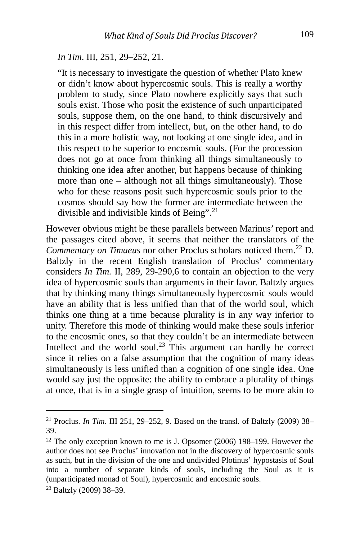#### *In Tim*. III, 251, 29–252, 21.

"It is necessary to investigate the question of whether Plato knew or didn't know about hypercosmic souls. This is really a worthy problem to study, since Plato nowhere explicitly says that such souls exist. Those who posit the existence of such unparticipated souls, suppose them, on the one hand, to think discursively and in this respect differ from intellect, but, on the other hand, to do this in a more holistic way, not looking at one single idea, and in this respect to be superior to encosmic souls. (For the procession does not go at once from thinking all things simultaneously to thinking one idea after another, but happens because of thinking more than one – although not all things simultaneously). Those who for these reasons posit such hypercosmic souls prior to the cosmos should say how the former are intermediate between the divisible and indivisible kinds of Being".<sup>[21](#page-9-0)</sup>

However obvious might be these parallels between Marinus' report and the passages cited above, it seems that neither the translators of the *Commentary on Timaeus* nor other Proclus scholars noticed them.<sup>[22](#page-9-1)</sup> D. Baltzly in the recent English translation of Proclus' commentary considers *In Tim.* II, 289, 29-290,6 to contain an objection to the very idea of hypercosmic souls than arguments in their favor. Baltzly argues that by thinking many things simultaneously hypercosmic souls would have an ability that is less unified than that of the world soul, which thinks one thing at a time because plurality is in any way inferior to unity. Therefore this mode of thinking would make these souls inferior to the encosmic ones, so that they couldn't be an intermediate between Intellect and the world soul.<sup>[23](#page-9-2)</sup> This argument can hardly be correct since it relies on a false assumption that the cognition of many ideas simultaneously is less unified than a cognition of one single idea. One would say just the opposite: the ability to embrace a plurality of things at once, that is in a single grasp of intuition, seems to be more akin to

<span id="page-9-0"></span><sup>21</sup> Proclus. *In Tim*. III 251, 29–252, 9. Based on the transl. of Baltzly (2009) 38– 39.

<span id="page-9-1"></span> $22$  The only exception known to me is J. Opsomer (2006) 198–199. However the author does not see Proclus' innovation not in the discovery of hypercosmic souls as such, but in the division of the one and undivided Plotinus' hypostasis of Soul into a number of separate kinds of souls, including the Soul as it is (unparticipated monad of Soul), hypercosmic and encosmic souls. 23 Baltzly (2009) 38–39.

<span id="page-9-2"></span>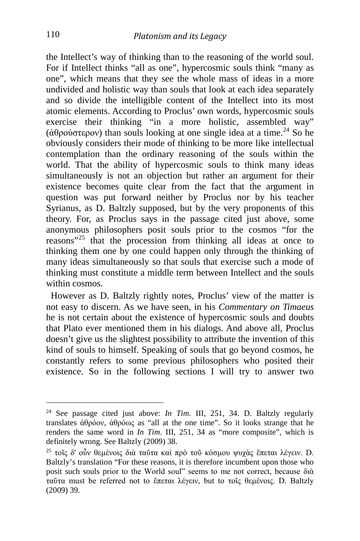the Intellect's way of thinking than to the reasoning of the world soul. For if Intellect thinks "all as one", hypercosmic souls think "many as one", which means that they see the whole mass of ideas in a more undivided and holistic way than souls that look at each idea separately and so divide the intelligible content of the Intellect into its most atomic elements. According to Proclus' own words, hypercosmic souls exercise their thinking "in a more holistic, assembled way" (άθρούστερον) than souls looking at one single idea at a time.<sup>[24](#page-10-0)</sup> So he obviously considers their mode of thinking to be more like intellectual contemplation than the ordinary reasoning of the souls within the world. That the ability of hypercosmic souls to think many ideas simultaneously is not an objection but rather an argument for their existence becomes quite clear from the fact that the argument in question was put forward neither by Proclus nor by his teacher Syrianus, as D. Baltzly supposed, but by the very proponents of this theory. For, as Proclus says in the passage cited just above, some anonymous philosophers posit souls prior to the cosmos "for the reasons"[25](#page-10-1) that the procession from thinking all ideas at once to thinking them one by one could happen only through the thinking of many ideas simultaneously so that souls that exercise such a mode of thinking must constitute a middle term between Intellect and the souls within cosmos.

 However as D. Baltzly rightly notes, Proclus' view of the matter is not easy to discern. As we have seen, in his *Commentary on Timaeus*  he is not certain about the existence of hypercosmic souls and doubts that Plato ever mentioned them in his dialogs. And above all, Proclus doesn't give us the slightest possibility to attribute the invention of this kind of souls to himself. Speaking of souls that go beyond cosmos, he constantly refers to some previous philosophers who posited their existence. So in the following sections I will try to answer two

<span id="page-10-0"></span><sup>24</sup> See passage cited just above: *In Tim*. III, 251, 34. D. Baltzly regularly translates ἀθρόον, ἀθρόως as "all at the one time". So it looks strange that he renders the same word in *In Tim*. III, 251, 34 as "more composite", which is definitely wrong. See Baltzly (2009) 38.

<span id="page-10-1"></span><sup>&</sup>lt;sup>25</sup> τοῖς δ' οὖν θεμένοις διὰ ταῦτα καὶ πρὸ τοῦ κόσμου ψυχὰς ἕπεται λέγειν. D. Baltzly's translation "For these reasons, it is therefore incumbent upon those who posit such souls prior to the World soul" seems to me not correct, because διὰ ταῦτα must be referred not to ἕπεται λέγειν, but to τοῖς θεμένοις. D. Baltzly (2009) 39.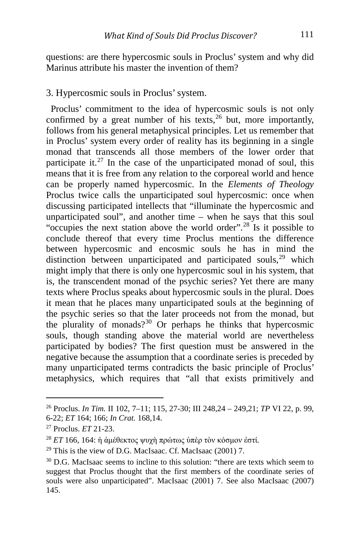questions: are there hypercosmic souls in Proclus' system and why did Marinus attribute his master the invention of them?

### 3. Hypercosmic souls in Proclus' system.

 Proclus' commitment to the idea of hypercosmic souls is not only confirmed by a great number of his texts,  $26$  but, more importantly, follows from his general metaphysical principles. Let us remember that in Proclus' system every order of reality has its beginning in a single monad that transcends all those members of the lower order that participate it.<sup>[27](#page-11-1)</sup> In the case of the unparticipated monad of soul, this means that it is free from any relation to the corporeal world and hence can be properly named hypercosmic. In the *Elements of Theology* Proclus twice calls the unparticipated soul hypercosmic: once when discussing participated intellects that "illuminate the hypercosmic and unparticipated soul", and another time – when he says that this soul "occupies the next station above the world order".[28](#page-11-2) Is it possible to conclude thereof that every time Proclus mentions the difference between hypercosmic and encosmic souls he has in mind the distinction between unparticipated and participated souls, $29$  which might imply that there is only one hypercosmic soul in his system, that is, the transcendent monad of the psychic series? Yet there are many texts where Proclus speaks about hypercosmic souls in the plural. Does it mean that he places many unparticipated souls at the beginning of the psychic series so that the later proceeds not from the monad, but the plurality of monads?[30](#page-11-4) Or perhaps he thinks that hypercosmic souls, though standing above the material world are nevertheless participated by bodies? The first question must be answered in the negative because the assumption that a coordinate series is preceded by many unparticipated terms contradicts the basic principle of Proclus' metaphysics, which requires that "all that exists primitively and

<span id="page-11-0"></span><sup>26</sup> Proclus. *In Tim.* II 102, 7–11; 115, 27-30; III 248,24 – 249,21; *TP* VI 22, p. 99, 6-22; *ET* 164; 166; *In Crat.* 168,14. 27 Proclus. *ET* 21-23.

<span id="page-11-2"></span><span id="page-11-1"></span><sup>28</sup> *ET* 166, 164: ἡ ἀμέθεκτος ψυχὴ πρώτως ὑπὲρ τὸν κόσμον ἐστί.

<span id="page-11-3"></span><sup>29</sup> This is the view of D.G. MacIsaac. Cf. MacIsaac (2001) 7.

<span id="page-11-4"></span><sup>&</sup>lt;sup>30</sup> D.G. MacIsaac seems to incline to this solution: "there are texts which seem to suggest that Proclus thought that the first members of the coordinate series of souls were also unparticipated". MacIsaac (2001) 7. See also MacIsaac (2007) 145.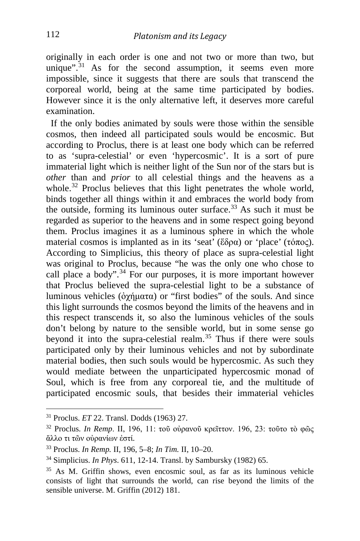originally in each order is one and not two or more than two, but unique".<sup>[31](#page-12-0)</sup> As for the second assumption, it seems even more impossible, since it suggests that there are souls that transcend the corporeal world, being at the same time participated by bodies. However since it is the only alternative left, it deserves more careful examination.

 If the only bodies animated by souls were those within the sensible cosmos, then indeed all participated souls would be encosmic. But according to Proclus, there is at least one body which can be referred to as 'supra-celestial' or even 'hypercosmic'. It is a sort of pure immaterial light which is neither light of the Sun nor of the stars but is *other* than and *prior* to all celestial things and the heavens as a whole.<sup>[32](#page-12-1)</sup> Proclus believes that this light penetrates the whole world, binds together all things within it and embraces the world body from the outside, forming its luminous outer surface.<sup>[33](#page-12-2)</sup> As such it must be regarded as superior to the heavens and in some respect going beyond them. Proclus imagines it as a luminous sphere in which the whole material cosmos is implanted as in its 'seat' (ἕδρα) or 'place' (τόπος). According to Simplicius, this theory of place as supra-celestial light was original to Proclus, because "he was the only one who chose to call place a body".<sup>[34](#page-12-3)</sup> For our purposes, it is more important however that Proclus believed the supra-celestial light to be a substance of luminous vehicles (ἀχήματα) or "first bodies" of the souls. And since this light surrounds the cosmos beyond the limits of the heavens and in this respect transcends it, so also the luminous vehicles of the souls don't belong by nature to the sensible world, but in some sense go beyond it into the supra-celestial realm.<sup>[35](#page-12-4)</sup> Thus if there were souls participated only by their luminous vehicles and not by subordinate material bodies, then such souls would be hypercosmic. As such they would mediate between the unparticipated hypercosmic monad of Soul, which is free from any corporeal tie, and the multitude of participated encosmic souls, that besides their immaterial vehicles

<span id="page-12-0"></span><sup>31</sup> Proclus. *ET* 22. Transl. Dodds (1963) 27.

<span id="page-12-1"></span><sup>32</sup> Proclus. *In Remp*. II, 196, 11: τοῦ οὐρανοῦ κρεῖττον. 196, 23: τοῦτο τὸ φῶς ἄλλο τι τῶν οὐρανίων ἐστί.

<span id="page-12-2"></span><sup>33</sup> Proclus. *In Remp.* II, 196, 5–8; *In Tim.* II, 10–20.

<span id="page-12-3"></span><sup>34</sup> Simplicius. *In Phys*. 611, 12-14. Transl. by Sambursky (1982) 65.

<span id="page-12-4"></span><sup>35</sup> As M. Griffin shows, even encosmic soul, as far as its luminous vehicle consists of light that surrounds the world, can rise beyond the limits of the sensible universe. M. Griffin (2012) 181.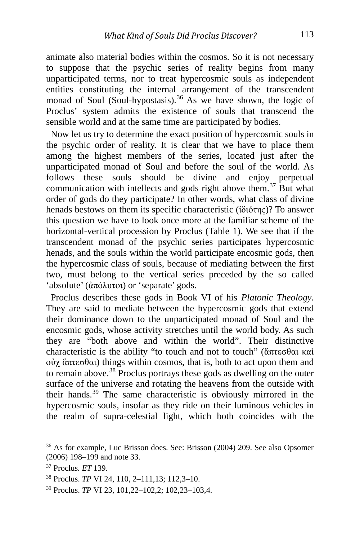animate also material bodies within the cosmos. So it is not necessary to suppose that the psychic series of reality begins from many unparticipated terms, nor to treat hypercosmic souls as independent entities constituting the internal arrangement of the transcendent monad of Soul (Soul-hypostasis).<sup>[36](#page-13-0)</sup> As we have shown, the logic of Proclus' system admits the existence of souls that transcend the sensible world and at the same time are participated by bodies.

 Now let us try to determine the exact position of hypercosmic souls in the psychic order of reality. It is clear that we have to place them among the highest members of the series, located just after the unparticipated monad of Soul and before the soul of the world. As follows these souls should be divine and enjoy perpetual communication with intellects and gods right above them.<sup>[37](#page-13-1)</sup> But what order of gods do they participate? In other words, what class of divine henads bestows on them its specific characteristic (ἰδιότης)? To answer this question we have to look once more at the familiar scheme of the horizontal-vertical procession by Proclus (Table 1). We see that if the transcendent monad of the psychic series participates hypercosmic henads, and the souls within the world participate encosmic gods, then the hypercosmic class of souls, because of mediating between the first two, must belong to the vertical series preceded by the so called 'absolute' (ἀπόλυτοι) or 'separate' gods.

 Proclus describes these gods in Book VI of his *Platonic Theology*. They are said to mediate between the hypercosmic gods that extend their dominance down to the unparticipated monad of Soul and the encosmic gods, whose activity stretches until the world body. As such they are "both above and within the world". Their distinctive characteristic is the ability "to touch and not to touch" (ἅπτεσθαι καὶ οὐχ ἅπτεσθαι) things within cosmos, that is, both to act upon them and to remain above.[38](#page-13-2) Proclus portrays these gods as dwelling on the outer surface of the universe and rotating the heavens from the outside with their hands.[39](#page-13-3) The same characteristic is obviously mirrored in the hypercosmic souls, insofar as they ride on their luminous vehicles in the realm of supra-celestial light, which both coincides with the

<span id="page-13-0"></span><sup>36</sup> As for example, Luc Brisson does. See: Brisson (2004) 209. See also Opsomer (2006) 198–199 and note 33. 37 Proclus*. ET* 139.

<span id="page-13-1"></span>

<span id="page-13-2"></span><sup>38</sup> Proclus. *TP* VI 24, 110, 2–111,13; 112,3–10.

<span id="page-13-3"></span><sup>39</sup> Proclus. *TP* VI 23, 101,22–102,2; 102,23–103,4.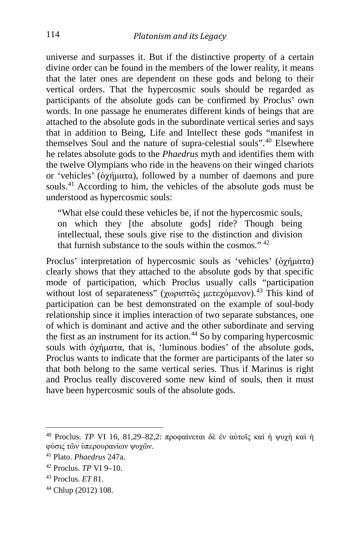universe and surpasses it. But if the distinctive property of a certain divine order can be found in the members of the lower reality, it means that the later ones are dependent on these gods and belong to their vertical orders. That the hypercosmic souls should be regarded as participants of the absolute gods can be confirmed by Proclus' own words. In one passage he enumerates different kinds of beings that are attached to the absolute gods in the subordinate vertical series and says that in addition to Being, Life and Intellect these gods "manifest in themselves Soul and the nature of supra-celestial souls".[40](#page-14-0) Elsewhere he relates absolute gods to the *Phaedrus* myth and identifies them with the twelve Olympians who ride in the heavens on their winged chariots or 'vehicles' (ὀχήματα), followed by a number of daemons and pure souls.<sup>[41](#page-14-1)</sup> According to him, the vehicles of the absolute gods must be understood as hypercosmic souls:

"What else could these vehicles be, if not the hypercosmic souls, on which they [the absolute gods] ride? Though being intellectual, these souls give rise to the distinction and division that furnish substance to the souls within the cosmos."  $42$ 

Proclus' interpretation of hypercosmic souls as 'vehicles' ( $\partial \chi \eta \mu \alpha \tau \alpha$ ) clearly shows that they attached to the absolute gods by that specific mode of participation, which Proclus usually calls "participation without lost of separateness" (χωριστῶς μετεχόμενον).<sup>[43](#page-14-3)</sup> This kind of participation can be best demonstrated on the example of soul-body relationship since it implies interaction of two separate substances, one of which is dominant and active and the other subordinate and serving the first as an instrument for its action.<sup>[44](#page-14-4)</sup> So by comparing hypercosmic souls with ὀχήματα, that is, 'luminous bodies' of the absolute gods, Proclus wants to indicate that the former are participants of the later so that both belong to the same vertical series. Thus if Marinus is right and Proclus really discovered some new kind of souls, then it must have been hypercosmic souls of the absolute gods.

<span id="page-14-0"></span><sup>40</sup> Proclus. *TP* VI 16, 81,29–82,2: προφαίνεται δὲ ἐν αὐτοῖς καὶ <sup>ἡ</sup> ψυχὴ καὶ <sup>ἡ</sup> φύσις τῶν ὑπερουρανίων ψυχῶν.

<span id="page-14-1"></span><sup>41</sup> Plato. *Phaedrus* 247a.

<span id="page-14-2"></span><sup>42</sup> Proclus. *TP* VI 9–10.

<span id="page-14-3"></span><sup>43</sup> Proclus. *ET* 81.

<span id="page-14-4"></span><sup>44</sup> Chlup (2012) 108.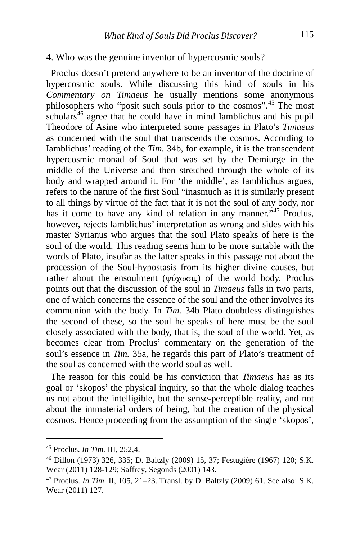#### 4. Who was the genuine inventor of hypercosmic souls?

 Proclus doesn't pretend anywhere to be an inventor of the doctrine of hypercosmic souls. While discussing this kind of souls in his *Commentary on Timaeus* he usually mentions some anonymous philosophers who "posit such souls prior to the cosmos".[45](#page-15-0) The most  $\frac{1}{2}$  scholars<sup>[46](#page-15-1)</sup> agree that he could have in mind Iamblichus and his pupil Theodore of Asine who interpreted some passages in Plato's *Timaeus*  as concerned with the soul that transcends the cosmos. According to Iamblichus' reading of the *Tim.* 34b, for example, it is the transcendent hypercosmic monad of Soul that was set by the Demiurge in the middle of the Universe and then stretched through the whole of its body and wrapped around it. For 'the middle', as Iamblichus argues, refers to the nature of the first Soul "inasmuch as it is similarly present to all things by virtue of the fact that it is not the soul of any body, nor has it come to have any kind of relation in any manner."<sup>[47](#page-15-2)</sup> Proclus, however, rejects Iamblichus' interpretation as wrong and sides with his master Syrianus who argues that the soul Plato speaks of here is the soul of the world. This reading seems him to be more suitable with the words of Plato, insofar as the latter speaks in this passage not about the procession of the Soul-hypostasis from its higher divine causes, but rather about the ensoulment (ψύχωσις) of the world body. Proclus points out that the discussion of the soul in *Timaeus* falls in two parts, one of which concerns the essence of the soul and the other involves its communion with the body. In *Tim.* 34b Plato doubtless distinguishes the second of these, so the soul he speaks of here must be the soul closely associated with the body, that is, the soul of the world. Yet, as becomes clear from Proclus' commentary on the generation of the soul's essence in *Tim.* 35a, he regards this part of Plato's treatment of the soul as concerned with the world soul as well.

 The reason for this could be his conviction that *Timaeus* has as its goal or 'skopos' the physical inquiry, so that the whole dialog teaches us not about the intelligible, but the sense-perceptible reality, and not about the immaterial orders of being, but the creation of the physical cosmos. Hence proceeding from the assumption of the single 'skopos',

i,

<span id="page-15-0"></span><sup>45</sup> Proclus. *In Tim.* III, 252,4.

<span id="page-15-1"></span><sup>46</sup> Dillon (1973) 326, 335; D. Baltzly (2009) 15, 37; Festugière (1967) 120; S.K. Wear (2011) 128-129; Saffrey, Segonds (2001) 143.

<span id="page-15-2"></span><sup>47</sup> Proclus. *In Tim.* II, 105, 21–23. Transl. by D. Baltzly (2009) 61. See also: S.K. Wear (2011) 127.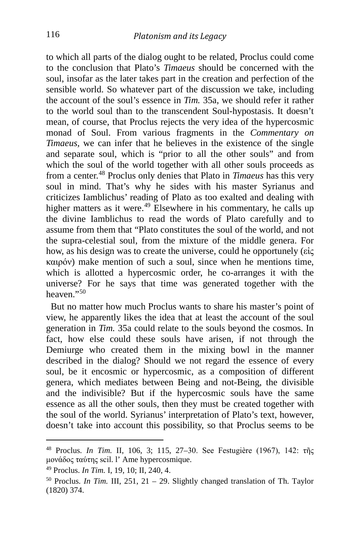to which all parts of the dialog ought to be related, Proclus could come to the conclusion that Plato's *Timaeus* should be concerned with the soul, insofar as the later takes part in the creation and perfection of the sensible world. So whatever part of the discussion we take, including the account of the soul's essence in *Tim.* 35a, we should refer it rather to the world soul than to the transcendent Soul-hypostasis. It doesn't mean, of course, that Proclus rejects the very idea of the hypercosmic monad of Soul. From various fragments in the *Commentary on Timaeus,* we can infer that he believes in the existence of the single and separate soul, which is "prior to all the other souls" and from which the soul of the world together with all other souls proceeds as from a center. [48](#page-16-0) Proclus only denies that Plato in *Timaeus* has this very soul in mind. That's why he sides with his master Syrianus and criticizes Iamblichus' reading of Plato as too exalted and dealing with higher matters as it were.<sup>[49](#page-16-1)</sup> Elsewhere in his commentary, he calls up the divine Iamblichus to read the words of Plato carefully and to assume from them that "Plato constitutes the soul of the world, and not the supra-celestial soul, from the mixture of the middle genera. For how, as his design was to create the universe, could he opportunely (εἰς καιρόν) make mention of such a soul, since when he mentions time, which is allotted a hypercosmic order, he co-arranges it with the universe? For he says that time was generated together with the heaven $"$ <sup>[50](#page-16-2)</sup>

 But no matter how much Proclus wants to share his master's point of view, he apparently likes the idea that at least the account of the soul generation in *Tim.* 35a could relate to the souls beyond the cosmos. In fact, how else could these souls have arisen, if not through the Demiurge who created them in the mixing bowl in the manner described in the dialog? Should we not regard the essence of every soul, be it encosmic or hypercosmic, as a composition of different genera, which mediates between Being and not-Being, the divisible and the indivisible? But if the hypercosmic souls have the same essence as all the other souls, then they must be created together with the soul of the world. Syrianus' interpretation of Plato's text, however, doesn't take into account this possibility, so that Proclus seems to be

<span id="page-16-0"></span><sup>48</sup> Proclus. *In Tim.* II, 106, 3; 115, 27–30. See Festugière (1967), 142: τῆς μονάδος ταύτης scil. l' Ame hypercosmique.

<span id="page-16-2"></span><span id="page-16-1"></span><sup>&</sup>lt;sup>49</sup> Proclus. *In Tim.* I, 19, 10; II, 240, 4.<br><sup>50</sup> Proclus. *In Tim.* III, 251, 21 – 29. Slightly changed translation of Th. Taylor (1820) 374.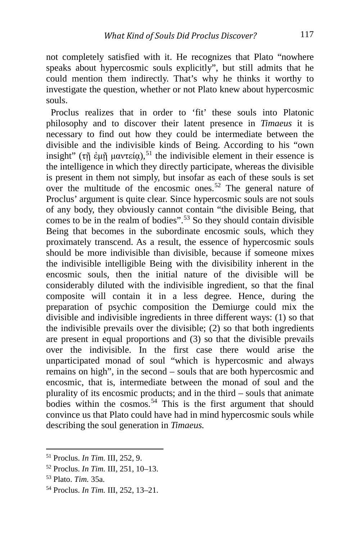not completely satisfied with it. He recognizes that Plato "nowhere speaks about hypercosmic souls explicitly", but still admits that he could mention them indirectly. That's why he thinks it worthy to investigate the question, whether or not Plato knew about hypercosmic souls.

 Proclus realizes that in order to 'fit' these souls into Platonic philosophy and to discover their latent presence in *Timaeus* it is necessary to find out how they could be intermediate between the divisible and the indivisible kinds of Being. According to his "own insight" (τῆ ἐμῆ μαντεία),<sup>[51](#page-17-0)</sup> the indivisible element in their essence is the intelligence in which they directly participate, whereas the divisible is present in them not simply, but insofar as each of these souls is set over the multitude of the encosmic ones.<sup>[52](#page-17-1)</sup> The general nature of Proclus' argument is quite clear. Since hypercosmic souls are not souls of any body, they obviously cannot contain "the divisible Being, that comes to be in the realm of bodies".<sup>[53](#page-17-2)</sup> So they should contain divisible Being that becomes in the subordinate encosmic souls, which they proximately transcend. As a result, the essence of hypercosmic souls should be more indivisible than divisible, because if someone mixes the indivisible intelligible Being with the divisibility inherent in the encosmic souls, then the initial nature of the divisible will be considerably diluted with the indivisible ingredient, so that the final composite will contain it in a less degree. Hence, during the preparation of psychic composition the Demiurge could mix the divisible and indivisible ingredients in three different ways: (1) so that the indivisible prevails over the divisible; (2) so that both ingredients are present in equal proportions and (3) so that the divisible prevails over the indivisible. In the first case there would arise the unparticipated monad of soul "which is hypercosmic and always remains on high", in the second – souls that are both hypercosmic and encosmic, that is, intermediate between the monad of soul and the plurality of its encosmic products; and in the third – souls that animate bodies within the cosmos.<sup>[54](#page-17-3)</sup> This is the first argument that should convince us that Plato could have had in mind hypercosmic souls while describing the soul generation in *Timaeus.* 

<span id="page-17-0"></span><sup>51</sup> Proclus. *In Tim.* III, 252, 9.

<span id="page-17-1"></span><sup>52</sup> Proclus. *In Tim.* III, 251, 10–13.

<span id="page-17-2"></span><sup>53</sup> Plato. *Tim.* 35a.

<span id="page-17-3"></span><sup>54</sup> Proclus. *In Tim.* III, 252, 13–21.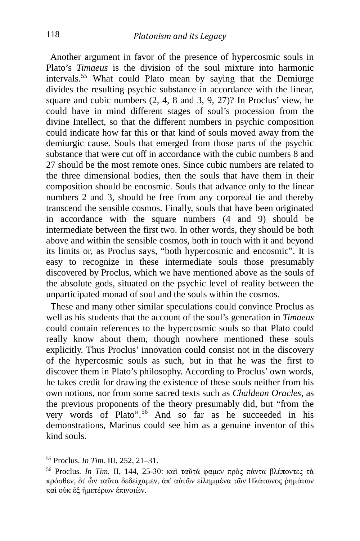Another argument in favor of the presence of hypercosmic souls in Plato's *Timaeus* is the division of the soul mixture into harmonic intervals.[55](#page-18-0) What could Plato mean by saying that the Demiurge divides the resulting psychic substance in accordance with the linear, square and cubic numbers (2, 4, 8 and 3, 9, 27)? In Proclus' view, he could have in mind different stages of soul's procession from the divine Intellect, so that the different numbers in psychic composition could indicate how far this or that kind of souls moved away from the demiurgic cause. Souls that emerged from those parts of the psychic substance that were cut off in accordance with the cubic numbers 8 and 27 should be the most remote ones. Since cubic numbers are related to the three dimensional bodies, then the souls that have them in their composition should be encosmic. Souls that advance only to the linear numbers 2 and 3, should be free from any corporeal tie and thereby transcend the sensible cosmos. Finally, souls that have been originated in accordance with the square numbers (4 and 9) should be intermediate between the first two. In other words, they should be both above and within the sensible cosmos, both in touch with it and beyond its limits or, as Proclus says, "both hypercosmic and encosmic". It is easy to recognize in these intermediate souls those presumably discovered by Proclus, which we have mentioned above as the souls of the absolute gods, situated on the psychic level of reality between the unparticipated monad of soul and the souls within the cosmos.

 These and many other similar speculations could convince Proclus as well as his students that the account of the soul's generation in *Timaeus* could contain references to the hypercosmic souls so that Plato could really know about them, though nowhere mentioned these souls explicitly. Thus Proclus' innovation could consist not in the discovery of the hypercosmic souls as such, but in that he was the first to discover them in Plato's philosophy. According to Proclus' own words, he takes credit for drawing the existence of these souls neither from his own notions, nor from some sacred texts such as *Chaldean Oracles*, as the previous proponents of the theory presumably did, but "from the very words of Plato".<sup>[56](#page-18-1)</sup> And so far as he succeeded in his demonstrations, Marinus could see him as a genuine inventor of this kind souls.

<span id="page-18-0"></span><sup>55</sup> Proclus. *In Tim.* III, 252, 21–31.

<span id="page-18-1"></span><sup>56</sup> Proclus*. In Tim.* II, 144, 25-30: καὶ ταῦτά φαμεν πρὸς πάντα βλέποντες τὰ πρόσθεν, δι' ὧν ταῦτα δεδείχαμεν, ἀπ' αὐτῶν εἰλημμένα τῶν Πλάτωνος ῥημάτων καὶ οὐκ ἐξ ἡμετέρων ἐπινοιῶν.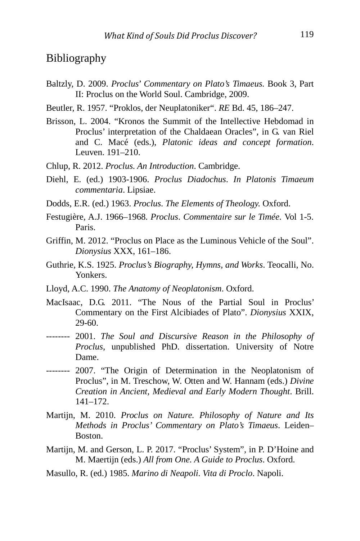## Bibliography

- Baltzly, D. 2009. *Proclus*' *Commentary on Plato's Timaeus.* Book 3, Part II: Proclus on the World Soul. Cambridge, 2009.
- Beutler, R. 1957. "Proklos, der Neuplatoniker". *RE* Bd. 45, 186–247.
- Brisson, L. 2004. "Kronos the Summit of the Intellective Hebdomad in Proclus' interpretation of the Chaldaean Oracles", in G. van Riel and C. Macé (eds.), *Platonic ideas and concept formation*. Leuven. 191–210.
- Chlup, R. 2012. *Proclus. An Introduction*. Cambridge.
- Diehl, E. (ed.) 1903-1906. *Proclus Diadochus*. *In Platonis Timaeum commentaria*. Lipsiae.
- Dodds, E.R. (ed.) 1963. *Proclus*. *The Elements of Theology.* Oxford.
- Festugière, A.J. 1966–1968. *Proclus*. *Commentaire sur le Timée.* Vol 1-5. Paris.
- Griffin, M. 2012. "Proclus on Place as the Luminous Vehicle of the Soul". *Dionysius* XXX, 161–186.
- Guthrie, K.S. 1925. *Proclus's Biography, Hymns, and Works*. Teocalli, No. Yonkers.
- Lloyd, A.C. 1990. *The Anatomy of Neoplatonism*. Oxford.
- MacIsaac, D.G. 2011. "The Nous of the Partial Soul in Proclus' Commentary on the First Alcibiades of Plato". *Dionysius* XXIX, 29-60.
- -------- 2001. *The Soul and Discursive Reason in the Philosophy of Proclus*, unpublished PhD. dissertation. University of Notre Dame.
- -------- 2007. "The Origin of Determination in the Neoplatonism of Proclus", in M. Treschow, W. Otten and W. Hannam (eds.) *Divine Creation in Ancient, Medieval and Early Modern Thought*. Brill. 141–172.
- Martijn, M. 2010. *Proclus on Nature. Philosophy of Nature and Its Methods in Proclus' Commentary on Plato's Timaeus*. Leiden– Boston.
- Martijn, M. and Gerson, L. P. 2017. "Proclus' System", in P. D'Hoine and M. Maertijn (eds.) *All from One. A Guide to Proclus*. Oxford.
- Masullo, R. (ed.) 1985. *Marino di Neapoli. Vita di Proclo*. Napoli.